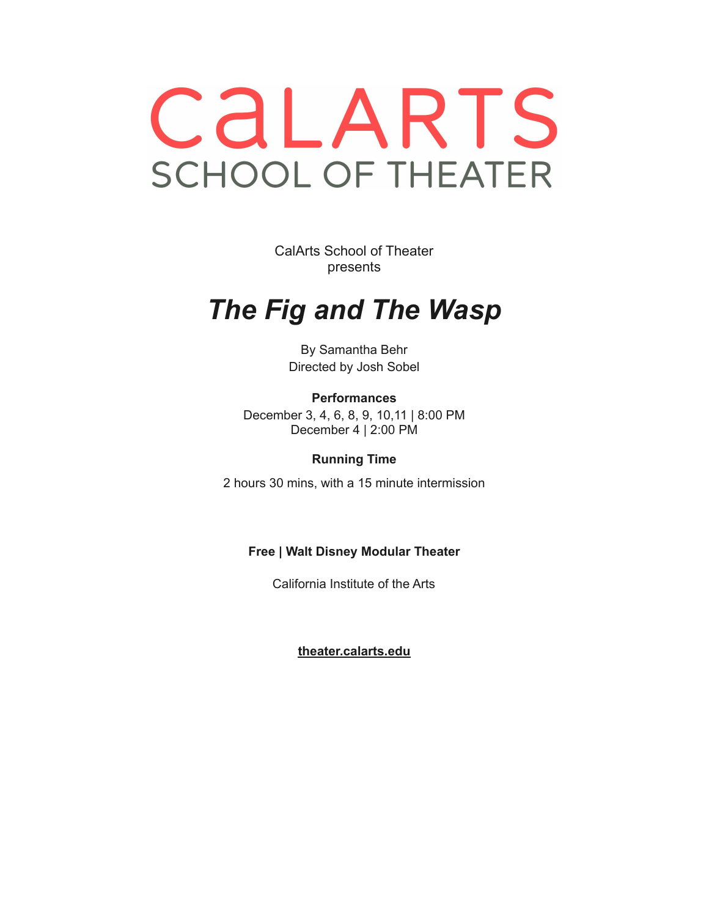# CALARTS **SCHOOL OF THEATER**

CalArts School of Theater presents

# *The Fig and The Wasp*

By Samantha Behr Directed by Josh Sobel

**Performances** December 3, 4, 6, 8, 9, 10,11 | 8:00 PM December 4 | 2:00 PM

**Running Time**

2 hours 30 mins, with a 15 minute intermission

# **Free | Walt Disney Modular Theater**

California Institute of the Arts

**[theater.calarts.edu](http://theater.calarts.edu)**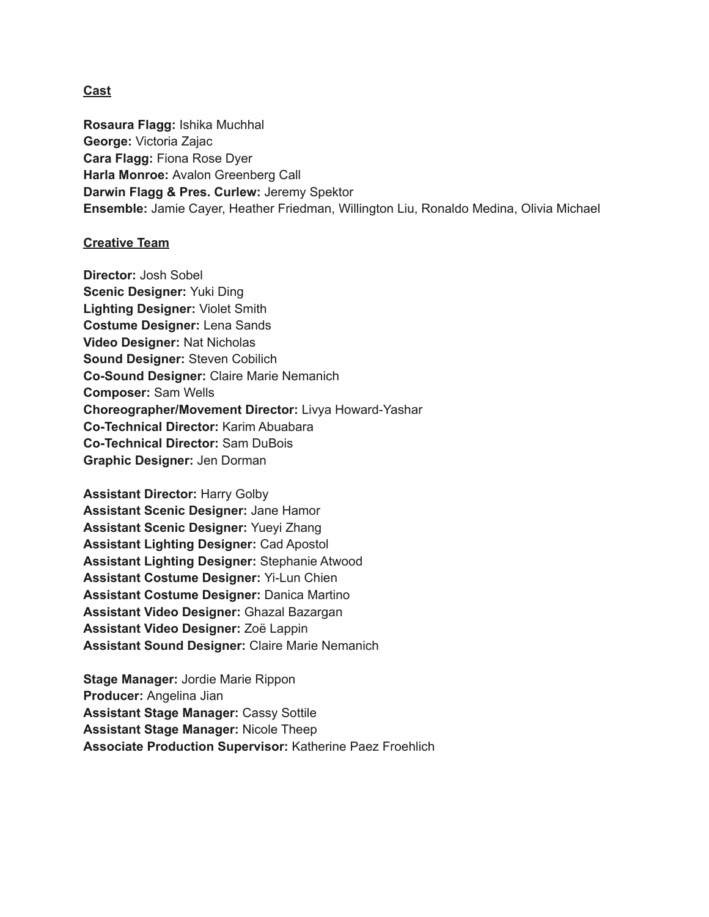#### **Cast**

**Rosaura Flagg:** Ishika Muchhal **George:** Victoria Zajac **Cara Flagg:** Fiona Rose Dyer **Harla Monroe:** Avalon Greenberg Call **Darwin Flagg & Pres. Curlew:** Jeremy Spektor **Ensemble:** Jamie Cayer, Heather Friedman, Willington Liu, Ronaldo Medina, Olivia Michael

#### **Creative Team**

**Director:** Josh Sobel **Scenic Designer:** Yuki Ding **Lighting Designer:** Violet Smith **Costume Designer:** Lena Sands **Video Designer:** Nat Nicholas **Sound Designer:** Steven Cobilich **Co-Sound Designer:** Claire Marie Nemanich **Composer:** Sam Wells **Choreographer/Movement Director:** Livya Howard-Yashar **Co-Technical Director:** Karim Abuabara **Co-Technical Director:** Sam DuBois **Graphic Designer:** Jen Dorman

**Assistant Director:** Harry Golby **Assistant Scenic Designer:** Jane Hamor **Assistant Scenic Designer:** Yueyi Zhang **Assistant Lighting Designer:** Cad Apostol **Assistant Lighting Designer:** Stephanie Atwood **Assistant Costume Designer:** Yi-Lun Chien **Assistant Costume Designer:** Danica Martino **Assistant Video Designer:** Ghazal Bazargan **Assistant Video Designer:** Zoë Lappin **Assistant Sound Designer:** Claire Marie Nemanich

**Stage Manager:** Jordie Marie Rippon **Producer:** Angelina Jian **Assistant Stage Manager:** Cassy Sottile **Assistant Stage Manager:** Nicole Theep **Associate Production Supervisor:** Katherine Paez Froehlich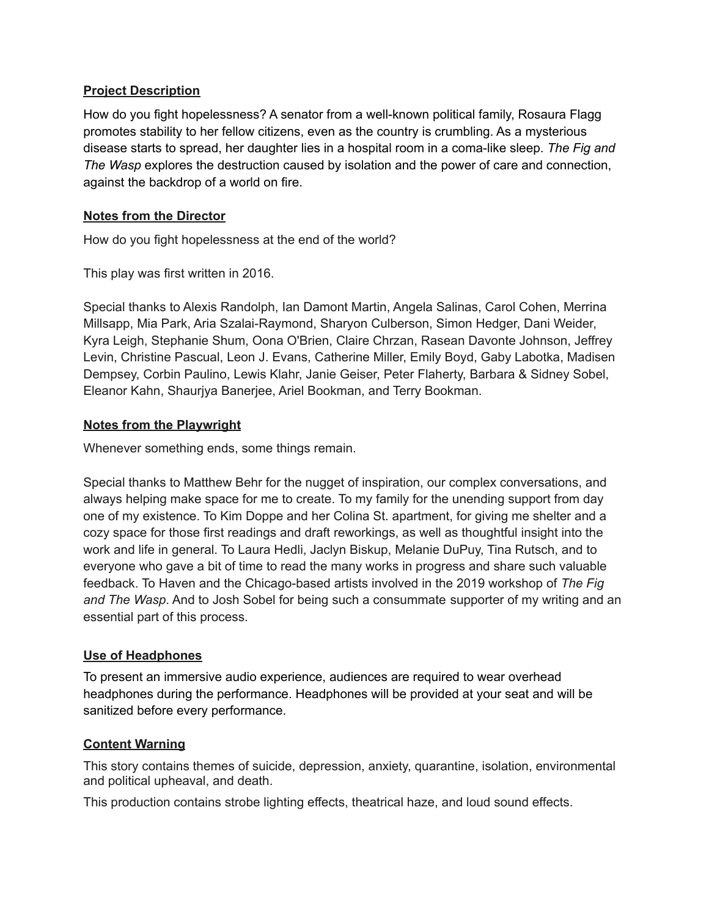# **Project Description**

How do you fight hopelessness? A senator from a well-known political family, Rosaura Flagg promotes stability to her fellow citizens, even as the country is crumbling. As a mysterious disease starts to spread, her daughter lies in a hospital room in a coma-like sleep. *The Fig and The Wasp* explores the destruction caused by isolation and the power of care and connection, against the backdrop of a world on fire.

# **Notes from the Director**

How do you fight hopelessness at the end of the world?

This play was first written in 2016.

Special thanks to Alexis Randolph, Ian Damont Martin, Angela Salinas, Carol Cohen, Merrina Millsapp, Mia Park, Aria Szalai-Raymond, Sharyon Culberson, Simon Hedger, Dani Weider, Kyra Leigh, Stephanie Shum, Oona O'Brien, Claire Chrzan, Rasean Davonte Johnson, Jeffrey Levin, Christine Pascual, Leon J. Evans, Catherine Miller, Emily Boyd, Gaby Labotka, Madisen Dempsey, Corbin Paulino, Lewis Klahr, Janie Geiser, Peter Flaherty, Barbara & Sidney Sobel, Eleanor Kahn, Shaurjya Banerjee, Ariel Bookman, and Terry Bookman.

# **Notes from the Playwright**

Whenever something ends, some things remain.

Special thanks to Matthew Behr for the nugget of inspiration, our complex conversations, and always helping make space for me to create. To my family for the unending support from day one of my existence. To Kim Doppe and her Colina St. apartment, for giving me shelter and a cozy space for those first readings and draft reworkings, as well as thoughtful insight into the work and life in general. To Laura Hedli, Jaclyn Biskup, Melanie DuPuy, Tina Rutsch, and to everyone who gave a bit of time to read the many works in progress and share such valuable feedback. To Haven and the Chicago-based artists involved in the 2019 workshop of *The Fig and The Wasp*. And to Josh Sobel for being such a consummate supporter of my writing and an essential part of this process.

#### **Use of Headphones**

To present an immersive audio experience, audiences are required to wear overhead headphones during the performance. Headphones will be provided at your seat and will be sanitized before every performance.

#### **Content Warning**

This story contains themes of suicide, depression, anxiety, quarantine, isolation, environmental and political upheaval, and death.

This production contains strobe lighting effects, theatrical haze, and loud sound effects.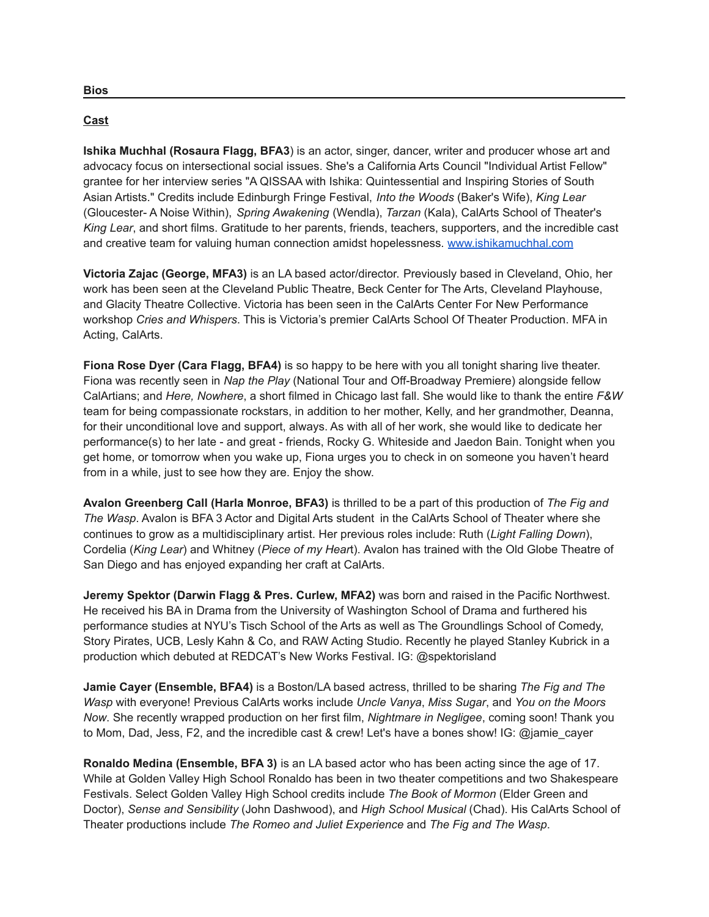#### **Cast**

**Ishika Muchhal (Rosaura Flagg, BFA3**) is an actor, singer, dancer, writer and producer whose art and advocacy focus on intersectional social issues. She's a California Arts Council "Individual Artist Fellow" grantee for her interview series "A QISSAA with Ishika: Quintessential and Inspiring Stories of South Asian Artists." Credits include Edinburgh Fringe Festival, *Into the Woods* (Baker's Wife), *King Lear* (Gloucester- A Noise Within), *Spring Awakening* (Wendla), *Tarzan* (Kala), CalArts School of Theater's *King Lear*, and short films. Gratitude to her parents, friends, teachers, supporters, and the incredible cast and creative team for valuing human connection amidst hopelessness. [www.ishikamuchhal.com](http://www.ishikamuchhal.com)

**Victoria Zajac (George, MFA3)** is an LA based actor/director. Previously based in Cleveland, Ohio, her work has been seen at the Cleveland Public Theatre, Beck Center for The Arts, Cleveland Playhouse, and Glacity Theatre Collective. Victoria has been seen in the CalArts Center For New Performance workshop *Cries and Whispers*. This is Victoria's premier CalArts School Of Theater Production. MFA in Acting, CalArts.

**Fiona Rose Dyer (Cara Flagg, BFA4)** is so happy to be here with you all tonight sharing live theater. Fiona was recently seen in *Nap the Play* (National Tour and Off-Broadway Premiere) alongside fellow CalArtians; and *Here, Nowhere*, a short filmed in Chicago last fall. She would like to thank the entire *F&W* team for being compassionate rockstars, in addition to her mother, Kelly, and her grandmother, Deanna, for their unconditional love and support, always. As with all of her work, she would like to dedicate her performance(s) to her late - and great - friends, Rocky G. Whiteside and Jaedon Bain. Tonight when you get home, or tomorrow when you wake up, Fiona urges you to check in on someone you haven't heard from in a while, just to see how they are. Enjoy the show.

**Avalon Greenberg Call (Harla Monroe, BFA3)** is thrilled to be a part of this production of *The Fig and The Wasp*. Avalon is BFA 3 Actor and Digital Arts student in the CalArts School of Theater where she continues to grow as a multidisciplinary artist. Her previous roles include: Ruth (*Light Falling Down*), Cordelia (*King Lear*) and Whitney (*Piece of my Hear*t). Avalon has trained with the Old Globe Theatre of San Diego and has enjoyed expanding her craft at CalArts.

**Jeremy Spektor (Darwin Flagg & Pres. Curlew, MFA2)** was born and raised in the Pacific Northwest. He received his BA in Drama from the University of Washington School of Drama and furthered his performance studies at NYU's Tisch School of the Arts as well as The Groundlings School of Comedy, Story Pirates, UCB, Lesly Kahn & Co, and RAW Acting Studio. Recently he played Stanley Kubrick in a production which debuted at REDCAT's New Works Festival. IG: @spektorisland

**Jamie Cayer (Ensemble, BFA4)** is a Boston/LA based actress, thrilled to be sharing *The Fig and The Wasp* with everyone! Previous CalArts works include *Uncle Vanya*, *Miss Sugar*, and *You on the Moors Now*. She recently wrapped production on her first film, *Nightmare in Negligee*, coming soon! Thank you to Mom, Dad, Jess, F2, and the incredible cast & crew! Let's have a bones show! IG: @jamie\_cayer

**Ronaldo Medina (Ensemble, BFA 3)** is an LA based actor who has been acting since the age of 17. While at Golden Valley High School Ronaldo has been in two theater competitions and two Shakespeare Festivals. Select Golden Valley High School credits include *The Book of Mormon* (Elder Green and Doctor), *Sense and Sensibility* (John Dashwood), and *High School Musical* (Chad). His CalArts School of Theater productions include *The Romeo and Juliet Experience* and *The Fig and The Wasp*.

**Bios**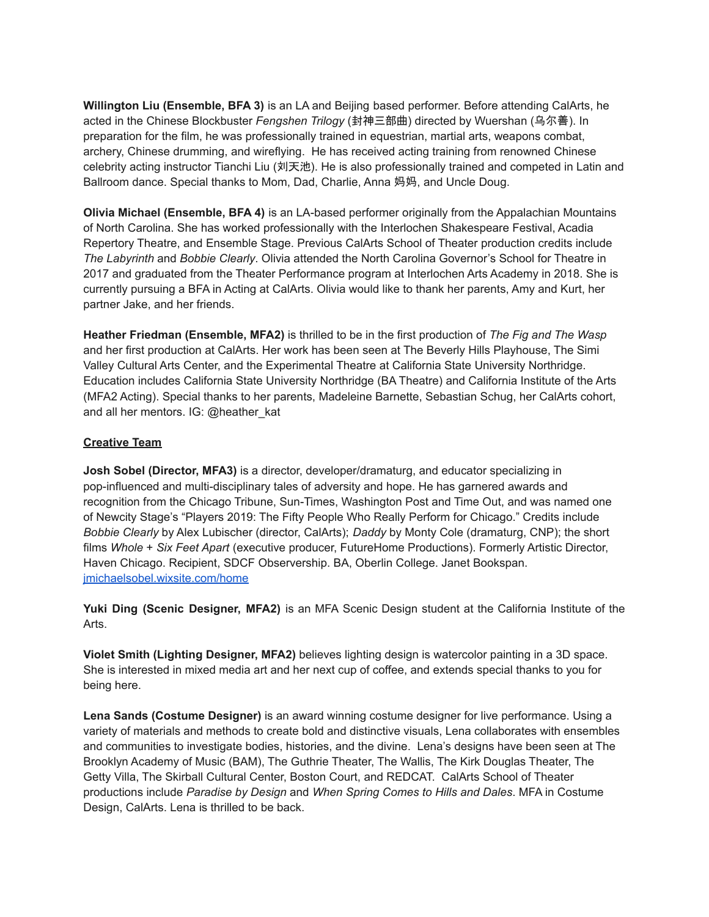**Willington Liu (Ensemble, BFA 3)** is an LA and Beijing based performer. Before attending CalArts, he acted in the Chinese Blockbuster *Fengshen Trilogy* (封神三部曲) directed by Wuershan (乌尔善). In preparation for the film, he was professionally trained in equestrian, martial arts, weapons combat, archery, Chinese drumming, and wireflying. He has received acting training from renowned Chinese celebrity acting instructor Tianchi Liu (刘天池). He is also professionally trained and competed in Latin and Ballroom dance. Special thanks to Mom, Dad, Charlie, Anna 妈妈, and Uncle Doug.

**Olivia Michael (Ensemble, BFA 4)** is an LA-based performer originally from the Appalachian Mountains of North Carolina. She has worked professionally with the Interlochen Shakespeare Festival, Acadia Repertory Theatre, and Ensemble Stage. Previous CalArts School of Theater production credits include *The Labyrinth* and *Bobbie Clearly*. Olivia attended the North Carolina Governor's School for Theatre in 2017 and graduated from the Theater Performance program at Interlochen Arts Academy in 2018. She is currently pursuing a BFA in Acting at CalArts. Olivia would like to thank her parents, Amy and Kurt, her partner Jake, and her friends.

**Heather Friedman (Ensemble, MFA2)** is thrilled to be in the first production of *The Fig and The Wasp* and her first production at CalArts. Her work has been seen at The Beverly Hills Playhouse, The Simi Valley Cultural Arts Center, and the Experimental Theatre at California State University Northridge. Education includes California State University Northridge (BA Theatre) and California Institute of the Arts (MFA2 Acting). Special thanks to her parents, Madeleine Barnette, Sebastian Schug, her CalArts cohort, and all her mentors. IG: @heather\_kat

#### **Creative Team**

**Josh Sobel (Director, MFA3)** is a director, developer/dramaturg, and educator specializing in pop-influenced and multi-disciplinary tales of adversity and hope. He has garnered awards and recognition from the Chicago Tribune, Sun-Times, Washington Post and Time Out, and was named one of Newcity Stage's "Players 2019: The Fifty People Who Really Perform for Chicago." Credits include *Bobbie Clearly* by Alex Lubischer (director, CalArts); *Daddy* by Monty Cole (dramaturg, CNP); the short films *Whole* + *Six Feet Apart* (executive producer, FutureHome Productions). Formerly Artistic Director, Haven Chicago. Recipient, SDCF Observership. BA, Oberlin College. Janet Bookspan. [jmichaelsobel.wixsite.com/home](http://jmichaelsobel.wixsite.com/home)

**Yuki Ding (Scenic Designer, MFA2)** is an MFA Scenic Design student at the California Institute of the Arts.

**Violet Smith (Lighting Designer, MFA2)** believes lighting design is watercolor painting in a 3D space. She is interested in mixed media art and her next cup of coffee, and extends special thanks to you for being here.

**Lena Sands (Costume Designer)** is an award winning costume designer for live performance. Using a variety of materials and methods to create bold and distinctive visuals, Lena collaborates with ensembles and communities to investigate bodies, histories, and the divine. Lena's designs have been seen at The Brooklyn Academy of Music (BAM), The Guthrie Theater, The Wallis, The Kirk Douglas Theater, The Getty Villa, The Skirball Cultural Center, Boston Court, and REDCAT. CalArts School of Theater productions include *Paradise by Design* and *When Spring Comes to Hills and Dales*. MFA in Costume Design, CalArts. Lena is thrilled to be back.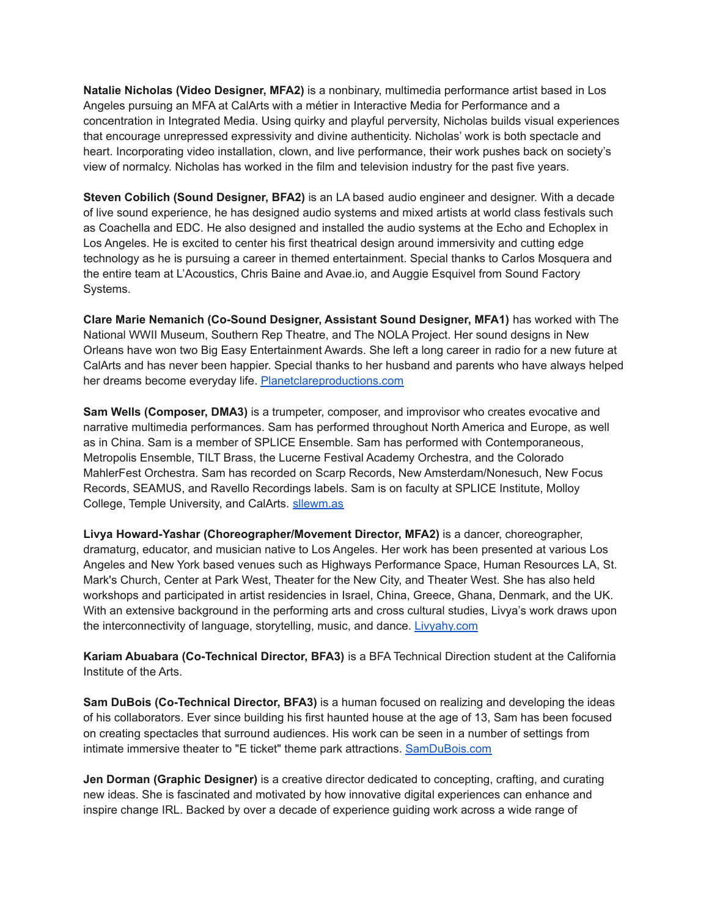**Natalie Nicholas (Video Designer, MFA2)** is a nonbinary, multimedia performance artist based in Los Angeles pursuing an MFA at CalArts with a métier in Interactive Media for Performance and a concentration in Integrated Media. Using quirky and playful perversity, Nicholas builds visual experiences that encourage unrepressed expressivity and divine authenticity. Nicholas' work is both spectacle and heart. Incorporating video installation, clown, and live performance, their work pushes back on society's view of normalcy. Nicholas has worked in the film and television industry for the past five years.

**Steven Cobilich (Sound Designer, BFA2)** is an LA based audio engineer and designer. With a decade of live sound experience, he has designed audio systems and mixed artists at world class festivals such as Coachella and EDC. He also designed and installed the audio systems at the Echo and Echoplex in Los Angeles. He is excited to center his first theatrical design around immersivity and cutting edge technology as he is pursuing a career in themed entertainment. Special thanks to Carlos Mosquera and the entire team at L'Acoustics, Chris Baine and Avae.io, and Auggie Esquivel from Sound Factory Systems.

**Clare Marie Nemanich (Co-Sound Designer, Assistant Sound Designer, MFA1)** has worked with The National WWII Museum, Southern Rep Theatre, and The NOLA Project. Her sound designs in New Orleans have won two Big Easy Entertainment Awards. She left a long career in radio for a new future at CalArts and has never been happier. Special thanks to her husband and parents who have always helped her dreams become everyday life. [Planetclareproductions.com](http://planetclareproductions.com)

**Sam Wells (Composer, DMA3)** is a trumpeter, composer, and improvisor who creates evocative and narrative multimedia performances. Sam has performed throughout North America and Europe, as well as in China. Sam is a member of SPLICE Ensemble. Sam has performed with Contemporaneous, Metropolis Ensemble, TILT Brass, the Lucerne Festival Academy Orchestra, and the Colorado MahlerFest Orchestra. Sam has recorded on Scarp Records, New Amsterdam/Nonesuch, New Focus Records, SEAMUS, and Ravello Recordings labels. Sam is on faculty at SPLICE Institute, Molloy College, Temple University, and CalArts. [sllewm.as](https://sllewm.as)

**Livya Howard-Yashar (Choreographer/Movement Director, MFA2)** is a dancer, choreographer, dramaturg, educator, and musician native to Los Angeles. Her work has been presented at various Los Angeles and New York based venues such as Highways Performance Space, Human Resources LA, St. Mark's Church, Center at Park West, Theater for the New City, and Theater West. She has also held workshops and participated in artist residencies in Israel, China, Greece, Ghana, Denmark, and the UK. With an extensive background in the performing arts and cross cultural studies, Livya's work draws upon the interconnectivity of language, storytelling, music, and dance. [Livyahy.com](http://livyahy.com)

**Kariam Abuabara (Co-Technical Director, BFA3)** is a BFA Technical Direction student at the California Institute of the Arts.

**Sam DuBois (Co-Technical Director, BFA3)** is a human focused on realizing and developing the ideas of his collaborators. Ever since building his first haunted house at the age of 13, Sam has been focused on creating spectacles that surround audiences. His work can be seen in a number of settings from intimate immersive theater to "E ticket" theme park attractions. [SamDuBois.com](http://samdubois.com)

**Jen Dorman (Graphic Designer)** is a creative director dedicated to concepting, crafting, and curating new ideas. She is fascinated and motivated by how innovative digital experiences can enhance and inspire change IRL. Backed by over a decade of experience guiding work across a wide range of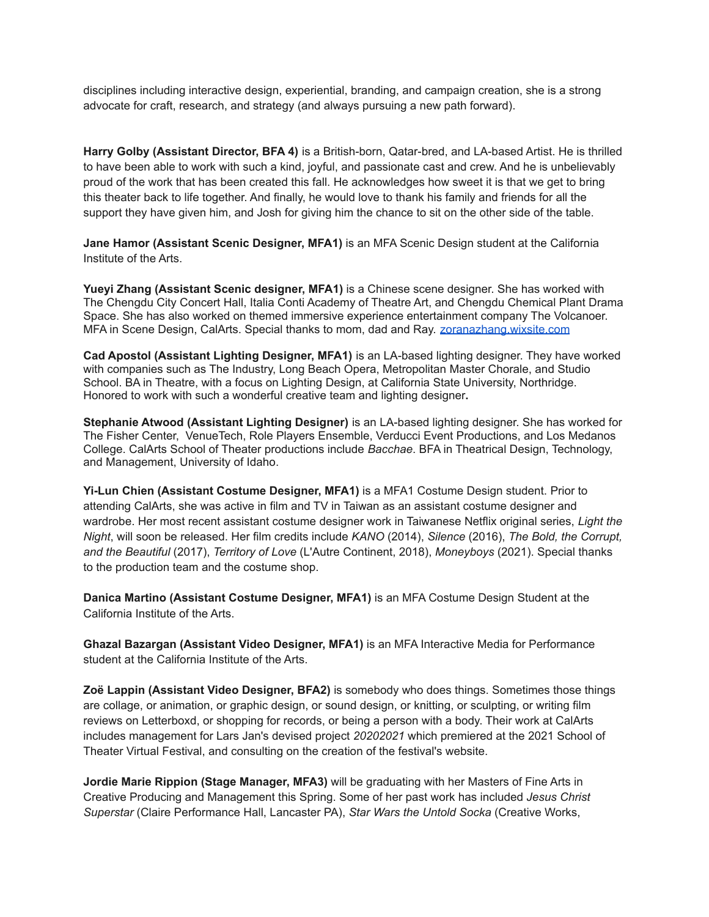disciplines including interactive design, experiential, branding, and campaign creation, she is a strong advocate for craft, research, and strategy (and always pursuing a new path forward).

**Harry Golby (Assistant Director, BFA 4)** is a British-born, Qatar-bred, and LA-based Artist. He is thrilled to have been able to work with such a kind, joyful, and passionate cast and crew. And he is unbelievably proud of the work that has been created this fall. He acknowledges how sweet it is that we get to bring this theater back to life together. And finally, he would love to thank his family and friends for all the support they have given him, and Josh for giving him the chance to sit on the other side of the table.

**Jane Hamor (Assistant Scenic Designer, MFA1)** is an MFA Scenic Design student at the California Institute of the Arts.

**Yueyi Zhang (Assistant Scenic designer, MFA1)** is a Chinese scene designer. She has worked with The Chengdu City Concert Hall, Italia Conti Academy of Theatre Art, and Chengdu Chemical Plant Drama Space. She has also worked on themed immersive experience entertainment company The Volcanoer. MFA in Scene Design, CalArts. Special thanks to mom, dad and Ray. [zoranazhang.wixsite.com](https://zoranazhang.wixsite.com/yueyizhang414)

**Cad Apostol (Assistant Lighting Designer, MFA1)** is an LA-based lighting designer. They have worked with companies such as The Industry, Long Beach Opera, Metropolitan Master Chorale, and Studio School. BA in Theatre, with a focus on Lighting Design, at California State University, Northridge. Honored to work with such a wonderful creative team and lighting designer**.**

**Stephanie Atwood (Assistant Lighting Designer)** is an LA-based lighting designer. She has worked for The Fisher Center, VenueTech, Role Players Ensemble, Verducci Event Productions, and Los Medanos College. CalArts School of Theater productions include *Bacchae*. BFA in Theatrical Design, Technology, and Management, University of Idaho.

**Yi-Lun Chien (Assistant Costume Designer, MFA1)** is a MFA1 Costume Design student. Prior to attending CalArts, she was active in film and TV in Taiwan as an assistant costume designer and wardrobe. Her most recent assistant costume designer work in Taiwanese Netflix original series, *Light the Night*, will soon be released. Her film credits include *KANO* (2014), *Silence* (2016), *The Bold, the Corrupt, and the Beautiful* (2017), *Territory of Love* (L'Autre Continent, 2018), *Moneyboys* (2021). Special thanks to the production team and the costume shop.

**Danica Martino (Assistant Costume Designer, MFA1)** is an MFA Costume Design Student at the California Institute of the Arts.

**Ghazal Bazargan (Assistant Video Designer, MFA1)** is an MFA Interactive Media for Performance student at the California Institute of the Arts.

**Zoë Lappin (Assistant Video Designer, BFA2)** is somebody who does things. Sometimes those things are collage, or animation, or graphic design, or sound design, or knitting, or sculpting, or writing film reviews on Letterboxd, or shopping for records, or being a person with a body. Their work at CalArts includes management for Lars Jan's devised project *20202021* which premiered at the 2021 School of Theater Virtual Festival, and consulting on the creation of the festival's website.

**Jordie Marie Rippion (Stage Manager, MFA3)** will be graduating with her Masters of Fine Arts in Creative Producing and Management this Spring. Some of her past work has included *Jesus Christ Superstar* (Claire Performance Hall, Lancaster PA), *Star Wars the Untold Socka* (Creative Works,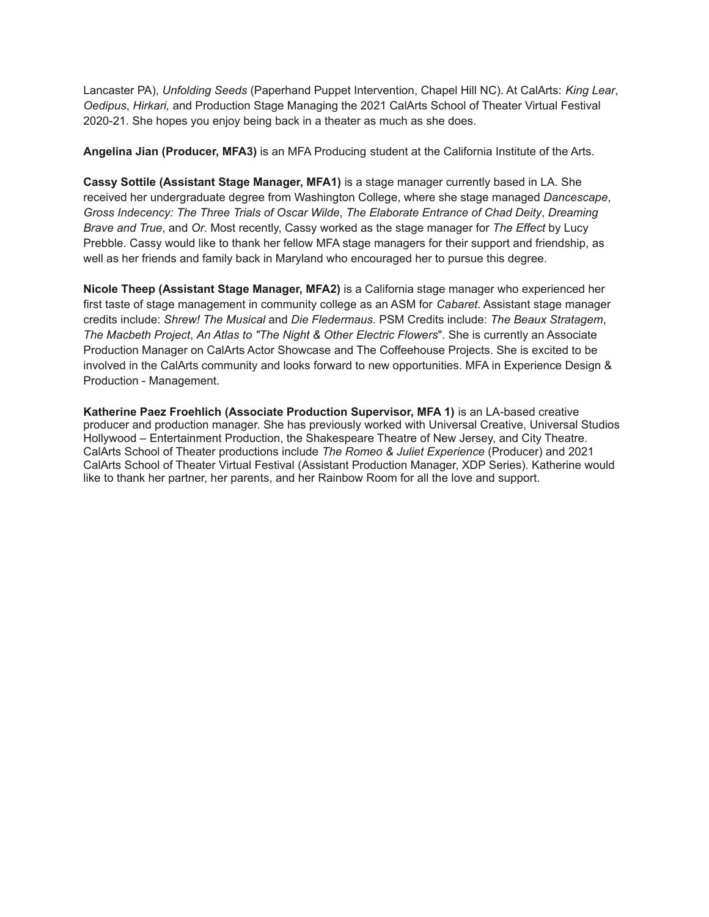Lancaster PA), *Unfolding Seeds* (Paperhand Puppet Intervention, Chapel Hill NC). At CalArts: *King Lear*, *Oedipus*, *Hirkari,* and Production Stage Managing the 2021 CalArts School of Theater Virtual Festival 2020-21. She hopes you enjoy being back in a theater as much as she does.

**Angelina Jian (Producer, MFA3)** is an MFA Producing student at the California Institute of the Arts.

**Cassy Sottile (Assistant Stage Manager, MFA1)** is a stage manager currently based in LA. She received her undergraduate degree from Washington College, where she stage managed *Dancescape*, *Gross Indecency: The Three Trials of Oscar Wilde*, *The Elaborate Entrance of Chad Deity*, *Dreaming Brave and True*, and *Or*. Most recently, Cassy worked as the stage manager for *The Effect* by Lucy Prebble. Cassy would like to thank her fellow MFA stage managers for their support and friendship, as well as her friends and family back in Maryland who encouraged her to pursue this degree.

**Nicole Theep (Assistant Stage Manager, MFA2)** is a California stage manager who experienced her first taste of stage management in community college as an ASM for *Cabaret*. Assistant stage manager credits include: *Shrew! The Musical* and *Die Fledermaus*. PSM Credits include: *The Beaux Stratagem*, *The Macbeth Project*, *An Atlas to "The Night & Other Electric Flowers*". She is currently an Associate Production Manager on CalArts Actor Showcase and The Coffeehouse Projects. She is excited to be involved in the CalArts community and looks forward to new opportunities. MFA in Experience Design & Production - Management.

**Katherine Paez Froehlich (Associate Production Supervisor, MFA 1)** is an LA-based creative producer and production manager. She has previously worked with Universal Creative, Universal Studios Hollywood – Entertainment Production, the Shakespeare Theatre of New Jersey, and City Theatre. CalArts School of Theater productions include *The Romeo & Juliet Experience* (Producer) and 2021 CalArts School of Theater Virtual Festival (Assistant Production Manager, XDP Series). Katherine would like to thank her partner, her parents, and her Rainbow Room for all the love and support.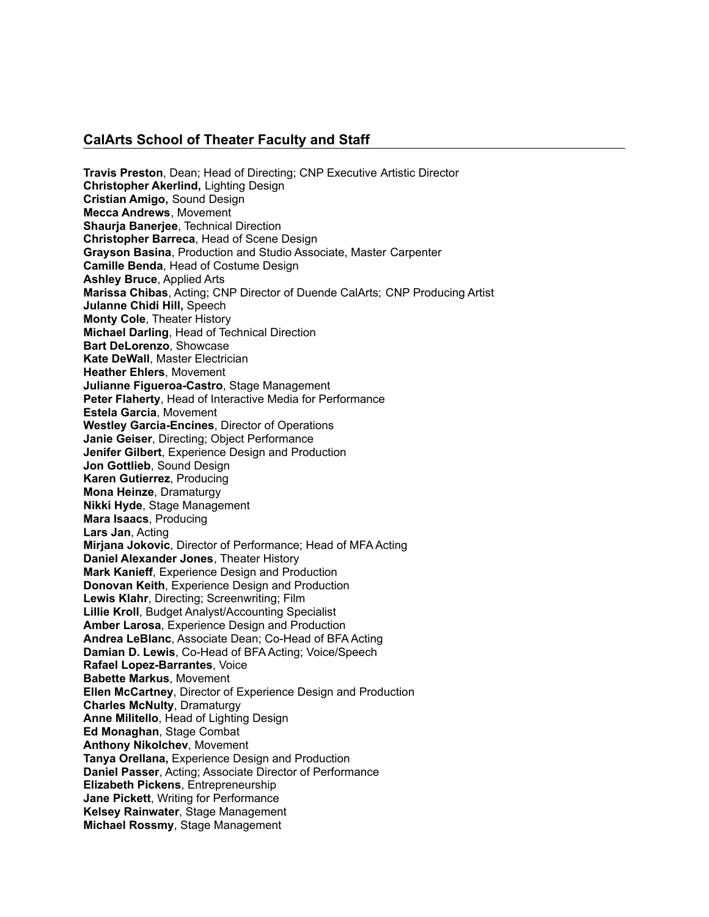#### **CalArts School of Theater Faculty and Staff**

**Travis Preston**, Dean; Head of Directing; CNP Executive Artistic Director **Christopher Akerlind,** Lighting Design **Cristian Amigo,** Sound Design **Mecca Andrews**, Movement **Shauria Baneriee**, Technical Direction **Christopher Barreca**, Head of Scene Design **Grayson Basina**, Production and Studio Associate, Master Carpenter **Camille Benda**, Head of Costume Design **Ashley Bruce**, Applied Arts **Marissa Chibas**, Acting; CNP Director of Duende CalArts; CNP Producing Artist **Julanne Chidi Hill,** Speech **Monty Cole**, Theater History **Michael Darling**, Head of Technical Direction **Bart DeLorenzo**, Showcase **Kate DeWall**, Master Electrician **Heather Ehlers**, Movement **Julianne Figueroa-Castro**, Stage Management **Peter Flaherty**, Head of Interactive Media for Performance **Estela Garcia**, Movement **Westley Garcia-Encines**, Director of Operations **Janie Geiser**, Directing; Object Performance **Jenifer Gilbert**, Experience Design and Production **Jon Gottlieb**, Sound Design **Karen Gutierrez**, Producing **Mona Heinze**, Dramaturgy **Nikki Hyde**, Stage Management **Mara Isaacs**, Producing **Lars Jan**, Acting **Mirjana Jokovic**, Director of Performance; Head of MFA Acting **Daniel Alexander Jones**, Theater History **Mark Kanieff**, Experience Design and Production **Donovan Keith**, Experience Design and Production **Lewis Klahr**, Directing; Screenwriting; Film **Lillie Kroll**, Budget Analyst/Accounting Specialist **Amber Larosa**, Experience Design and Production **Andrea LeBlanc**, Associate Dean; Co-Head of BFA Acting **Damian D. Lewis**, Co-Head of BFA Acting; Voice/Speech **Rafael Lopez-Barrantes**, Voice **Babette Markus**, Movement **Ellen McCartney**, Director of Experience Design and Production **Charles McNulty**, Dramaturgy **Anne Militello**, Head of Lighting Design **Ed Monaghan**, Stage Combat **Anthony Nikolchev**, Movement **Tanya Orellana,** Experience Design and Production **Daniel Passer**, Acting; Associate Director of Performance **Elizabeth Pickens**, Entrepreneurship **Jane Pickett**, Writing for Performance **Kelsey Rainwater**, Stage Management **Michael Rossmy**, Stage Management